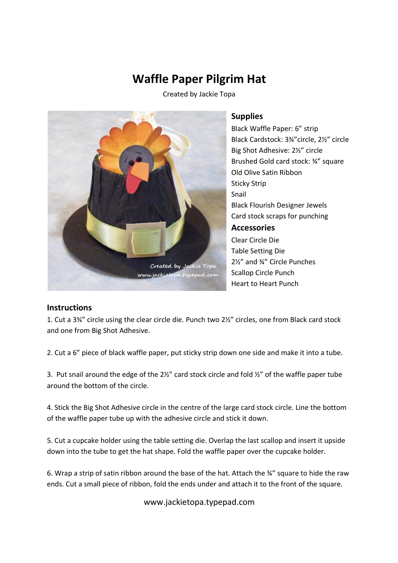## **Waffle Paper Pilgrim Hat**

Created by Jackie Topa



## **Supplies**

Black Waffle Paper: 6" strip Black Cardstock: 3¾"circle, 2½" circle Big Shot Adhesive: 2½" circle Brushed Gold card stock: ¾" square Old Olive Satin Ribbon Sticky Strip Snail Black Flourish Designer Jewels Card stock scraps for punching **Accessories** Clear Circle Die Table Setting Die 2½" and ¾" Circle Punches Scallop Circle Punch Heart to Heart Punch

## **Instructions**

1. Cut a 3¾" circle using the clear circle die. Punch two 2½" circles, one from Black card stock and one from Big Shot Adhesive.

2. Cut a 6" piece of black waffle paper, put sticky strip down one side and make it into a tube.

3. Put snail around the edge of the  $2\frac{1}{2}$ " card stock circle and fold  $\frac{1}{2}$ " of the waffle paper tube around the bottom of the circle.

4. Stick the Big Shot Adhesive circle in the centre of the large card stock circle. Line the bottom of the waffle paper tube up with the adhesive circle and stick it down.

5. Cut a cupcake holder using the table setting die. Overlap the last scallop and insert it upside down into the tube to get the hat shape. Fold the waffle paper over the cupcake holder.

6. Wrap a strip of satin ribbon around the base of the hat. Attach the ¾" square to hide the raw ends. Cut a small piece of ribbon, fold the ends under and attach it to the front of the square.

www.jackietopa.typepad.com